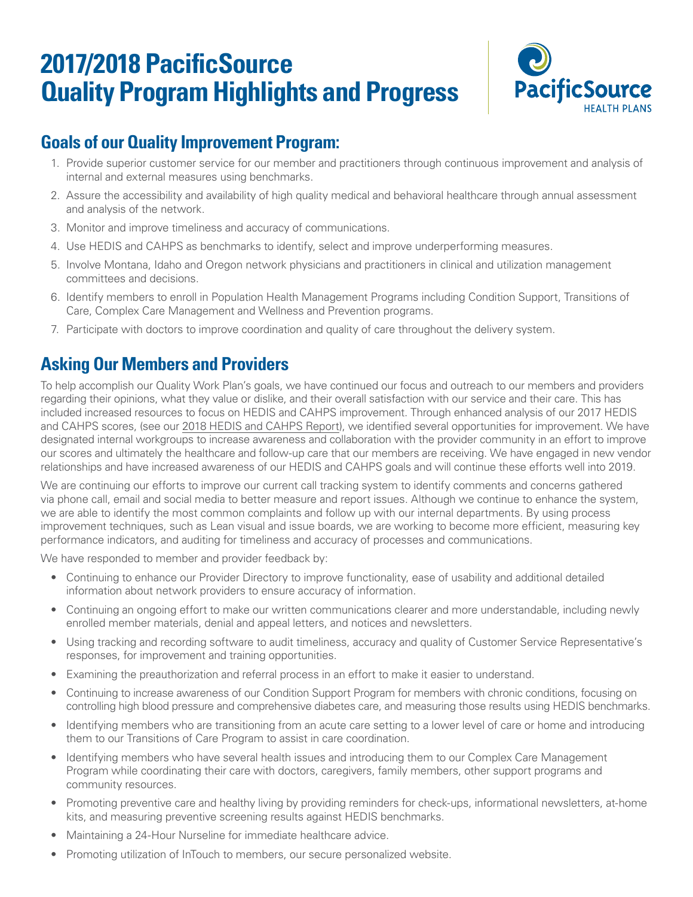# **2017/2018 PacificSource Quality Program Highlights and Progress**



## **Goals of our Quality Improvement Program:**

- 1. Provide superior customer service for our member and practitioners through continuous improvement and analysis of internal and external measures using benchmarks.
- 2. Assure the accessibility and availability of high quality medical and behavioral healthcare through annual assessment and analysis of the network.
- 3. Monitor and improve timeliness and accuracy of communications.
- 4. Use HEDIS and CAHPS as benchmarks to identify, select and improve underperforming measures.
- 5. Involve Montana, Idaho and Oregon network physicians and practitioners in clinical and utilization management committees and decisions.
- 6. Identify members to enroll in Population Health Management Programs including Condition Support, Transitions of Care, Complex Care Management and Wellness and Prevention programs.
- 7. Participate with doctors to improve coordination and quality of care throughout the delivery system.

## **Asking Our Members and Providers**

To help accomplish our Quality Work Plan's goals, we have continued our focus and outreach to our members and providers regarding their opinions, what they value or dislike, and their overall satisfaction with our service and their care. This has included increased resources to focus on HEDIS and CAHPS improvement. Through enhanced analysis of our 2017 HEDIS and CAHPS scores, (see our [2018 HEDIS and CAHPS Report\)](https://pacificsource.com/sites/default/files/2020-07/2018_HEDIS_and_CAHPS_Report.pdf), we identified several opportunities for improvement. We have designated internal workgroups to increase awareness and collaboration with the provider community in an effort to improve our scores and ultimately the healthcare and follow-up care that our members are receiving. We have engaged in new vendor relationships and have increased awareness of our HEDIS and CAHPS goals and will continue these efforts well into 2019.

We are continuing our efforts to improve our current call tracking system to identify comments and concerns gathered via phone call, email and social media to better measure and report issues. Although we continue to enhance the system, we are able to identify the most common complaints and follow up with our internal departments. By using process improvement techniques, such as Lean visual and issue boards, we are working to become more efficient, measuring key performance indicators, and auditing for timeliness and accuracy of processes and communications.

We have responded to member and provider feedback by:

- Continuing to enhance our Provider Directory to improve functionality, ease of usability and additional detailed information about network providers to ensure accuracy of information.
- Continuing an ongoing effort to make our written communications clearer and more understandable, including newly enrolled member materials, denial and appeal letters, and notices and newsletters.
- Using tracking and recording software to audit timeliness, accuracy and quality of Customer Service Representative's responses, for improvement and training opportunities.
- Examining the preauthorization and referral process in an effort to make it easier to understand.
- Continuing to increase awareness of our Condition Support Program for members with chronic conditions, focusing on controlling high blood pressure and comprehensive diabetes care, and measuring those results using HEDIS benchmarks.
- Identifying members who are transitioning from an acute care setting to a lower level of care or home and introducing them to our Transitions of Care Program to assist in care coordination.
- Identifying members who have several health issues and introducing them to our Complex Care Management Program while coordinating their care with doctors, caregivers, family members, other support programs and community resources.
- Promoting preventive care and healthy living by providing reminders for check-ups, informational newsletters, at-home kits, and measuring preventive screening results against HEDIS benchmarks.
- Maintaining a 24-Hour Nurseline for immediate healthcare advice.
- Promoting utilization of InTouch to members, our secure personalized website.